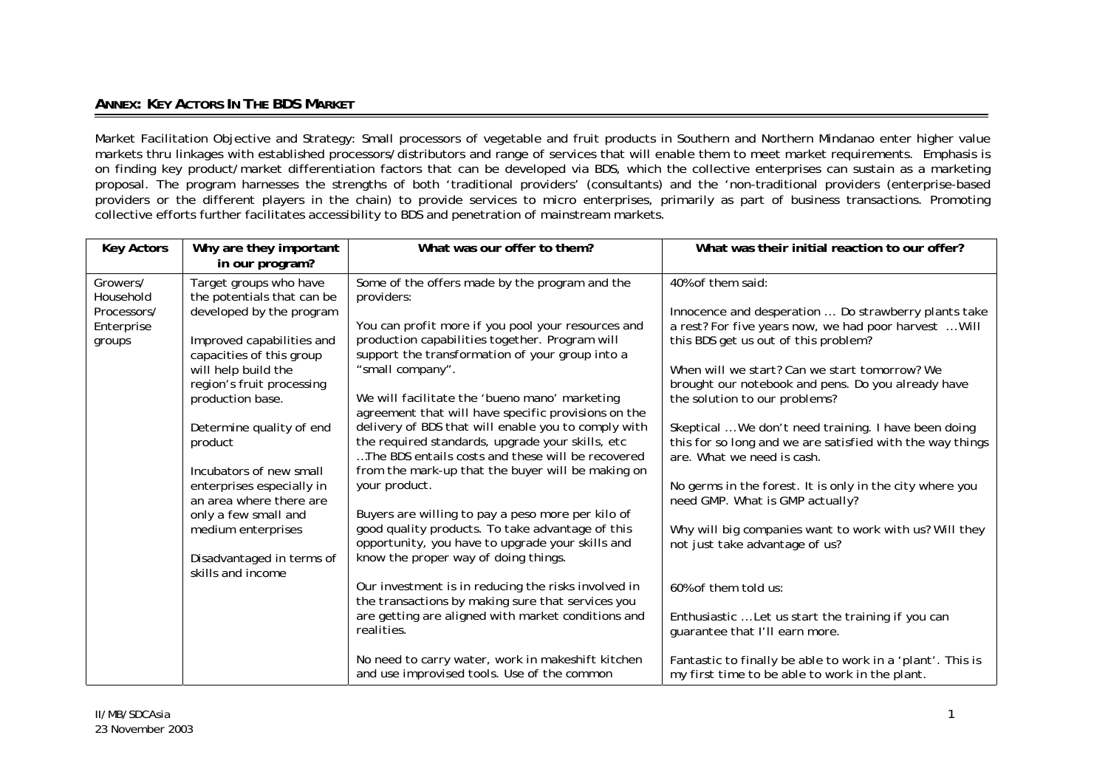## **ANNEX: KEY ACTORS IN THE BDS MARKET**

Market Facilitation Objective and Strategy: Small processors of vegetable and fruit products in Southern and Northern Mindanao enter higher value markets thru linkages with established processors/distributors and range of services that will enable them to meet market requirements. Emphasis is on finding key product/market differentiation factors that can be developed via BDS, which the collective enterprises can sustain as a marketing proposal. The program harnesses the strengths of both 'traditional providers' (consultants) and the 'non-traditional providers (enterprise-based providers or the different players in the chain) to provide services to micro enterprises, primarily as part of business transactions. Promoting collective efforts further facilitates accessibility to BDS and penetration of mainstream markets.

| <b>Key Actors</b>                                            | Why are they important<br>in our program?                                                                                                                                                                                                                                                                                                                                                                                                   | What was our offer to them?                                                                                                                                                                                                                                                                                                                                                                                                                                                                                                                                                                                                                                                                                                                                                                                                                                                                                                                                                                                                                                                        | What was their initial reaction to our offer?                                                                                                                                                                                                                                                                                                                                                                                                                                                                                                                                                                                                                                                                                                                                                                                                                                                    |
|--------------------------------------------------------------|---------------------------------------------------------------------------------------------------------------------------------------------------------------------------------------------------------------------------------------------------------------------------------------------------------------------------------------------------------------------------------------------------------------------------------------------|------------------------------------------------------------------------------------------------------------------------------------------------------------------------------------------------------------------------------------------------------------------------------------------------------------------------------------------------------------------------------------------------------------------------------------------------------------------------------------------------------------------------------------------------------------------------------------------------------------------------------------------------------------------------------------------------------------------------------------------------------------------------------------------------------------------------------------------------------------------------------------------------------------------------------------------------------------------------------------------------------------------------------------------------------------------------------------|--------------------------------------------------------------------------------------------------------------------------------------------------------------------------------------------------------------------------------------------------------------------------------------------------------------------------------------------------------------------------------------------------------------------------------------------------------------------------------------------------------------------------------------------------------------------------------------------------------------------------------------------------------------------------------------------------------------------------------------------------------------------------------------------------------------------------------------------------------------------------------------------------|
| Growers/<br>Household<br>Processors/<br>Enterprise<br>groups | Target groups who have<br>the potentials that can be<br>developed by the program<br>Improved capabilities and<br>capacities of this group<br>will help build the<br>region's fruit processing<br>production base.<br>Determine quality of end<br>product<br>Incubators of new small<br>enterprises especially in<br>an area where there are<br>only a few small and<br>medium enterprises<br>Disadvantaged in terms of<br>skills and income | Some of the offers made by the program and the<br>providers:<br>You can profit more if you pool your resources and<br>production capabilities together. Program will<br>support the transformation of your group into a<br>"small company".<br>We will facilitate the 'bueno mano' marketing<br>agreement that will have specific provisions on the<br>delivery of BDS that will enable you to comply with<br>the required standards, upgrade your skills, etc<br>The BDS entails costs and these will be recovered<br>from the mark-up that the buyer will be making on<br>your product.<br>Buyers are willing to pay a peso more per kilo of<br>good quality products. To take advantage of this<br>opportunity, you have to upgrade your skills and<br>know the proper way of doing things.<br>Our investment is in reducing the risks involved in<br>the transactions by making sure that services you<br>are getting are aligned with market conditions and<br>realities.<br>No need to carry water, work in makeshift kitchen<br>and use improvised tools. Use of the common | 40% of them said:<br>Innocence and desperation  Do strawberry plants take<br>a rest? For five years now, we had poor harvest  Will<br>this BDS get us out of this problem?<br>When will we start? Can we start tomorrow? We<br>brought our notebook and pens. Do you already have<br>the solution to our problems?<br>Skeptical  We don't need training. I have been doing<br>this for so long and we are satisfied with the way things<br>are. What we need is cash.<br>No germs in the forest. It is only in the city where you<br>need GMP. What is GMP actually?<br>Why will big companies want to work with us? Will they<br>not just take advantage of us?<br>60% of them told us:<br>Enthusiastic  Let us start the training if you can<br>guarantee that I'll earn more.<br>Fantastic to finally be able to work in a 'plant'. This is<br>my first time to be able to work in the plant. |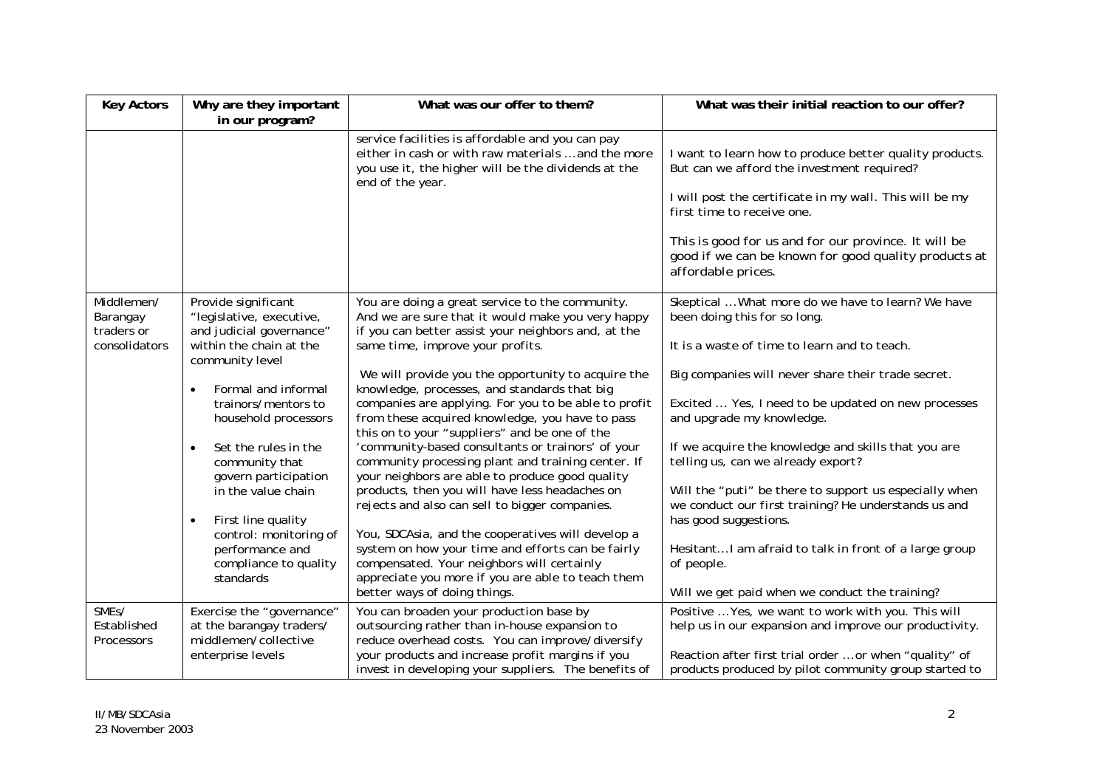| <b>Key Actors</b>                                     | Why are they important<br>in our program?                                                                                                                                                                                                                                                                                                                                                                     | What was our offer to them?                                                                                                                                                                                                                                                                                                                                                                                                                                                                                                                                                                                                                                                                                                                                                                                                                                                                                                                                                      | What was their initial reaction to our offer?                                                                                                                                                                                                                                                                                                                                                                                                                                                                                                                                                                                                 |
|-------------------------------------------------------|---------------------------------------------------------------------------------------------------------------------------------------------------------------------------------------------------------------------------------------------------------------------------------------------------------------------------------------------------------------------------------------------------------------|----------------------------------------------------------------------------------------------------------------------------------------------------------------------------------------------------------------------------------------------------------------------------------------------------------------------------------------------------------------------------------------------------------------------------------------------------------------------------------------------------------------------------------------------------------------------------------------------------------------------------------------------------------------------------------------------------------------------------------------------------------------------------------------------------------------------------------------------------------------------------------------------------------------------------------------------------------------------------------|-----------------------------------------------------------------------------------------------------------------------------------------------------------------------------------------------------------------------------------------------------------------------------------------------------------------------------------------------------------------------------------------------------------------------------------------------------------------------------------------------------------------------------------------------------------------------------------------------------------------------------------------------|
|                                                       |                                                                                                                                                                                                                                                                                                                                                                                                               | service facilities is affordable and you can pay<br>either in cash or with raw materials  and the more<br>you use it, the higher will be the dividends at the<br>end of the year.                                                                                                                                                                                                                                                                                                                                                                                                                                                                                                                                                                                                                                                                                                                                                                                                | I want to learn how to produce better quality products.<br>But can we afford the investment required?<br>I will post the certificate in my wall. This will be my<br>first time to receive one.<br>This is good for us and for our province. It will be<br>good if we can be known for good quality products at<br>affordable prices.                                                                                                                                                                                                                                                                                                          |
| Middlemen/<br>Barangay<br>traders or<br>consolidators | Provide significant<br>"legislative, executive,<br>and judicial governance"<br>within the chain at the<br>community level<br>Formal and informal<br>trainors/mentors to<br>household processors<br>Set the rules in the<br>community that<br>govern participation<br>in the value chain<br>First line quality<br>$\bullet$<br>control: monitoring of<br>performance and<br>compliance to quality<br>standards | You are doing a great service to the community.<br>And we are sure that it would make you very happy<br>if you can better assist your neighbors and, at the<br>same time, improve your profits.<br>We will provide you the opportunity to acquire the<br>knowledge, processes, and standards that big<br>companies are applying. For you to be able to profit<br>from these acquired knowledge, you have to pass<br>this on to your "suppliers" and be one of the<br>'community-based consultants or trainors' of your<br>community processing plant and training center. If<br>your neighbors are able to produce good quality<br>products, then you will have less headaches on<br>rejects and also can sell to bigger companies.<br>You, SDCAsia, and the cooperatives will develop a<br>system on how your time and efforts can be fairly<br>compensated. Your neighbors will certainly<br>appreciate you more if you are able to teach them<br>better ways of doing things. | Skeptical  What more do we have to learn? We have<br>been doing this for so long.<br>It is a waste of time to learn and to teach.<br>Big companies will never share their trade secret.<br>Excited  Yes, I need to be updated on new processes<br>and upgrade my knowledge.<br>If we acquire the knowledge and skills that you are<br>telling us, can we already export?<br>Will the "puti" be there to support us especially when<br>we conduct our first training? He understands us and<br>has good suggestions.<br>Hesitant I am afraid to talk in front of a large group<br>of people.<br>Will we get paid when we conduct the training? |
| SME <sub>s</sub> /<br>Established<br>Processors       | Exercise the "governance"<br>at the barangay traders/<br>middlemen/collective<br>enterprise levels                                                                                                                                                                                                                                                                                                            | You can broaden your production base by<br>outsourcing rather than in-house expansion to<br>reduce overhead costs. You can improve/diversify<br>your products and increase profit margins if you<br>invest in developing your suppliers. The benefits of                                                                                                                                                                                                                                                                                                                                                                                                                                                                                                                                                                                                                                                                                                                         | Positive  Yes, we want to work with you. This will<br>help us in our expansion and improve our productivity.<br>Reaction after first trial order  or when "quality" of<br>products produced by pilot community group started to                                                                                                                                                                                                                                                                                                                                                                                                               |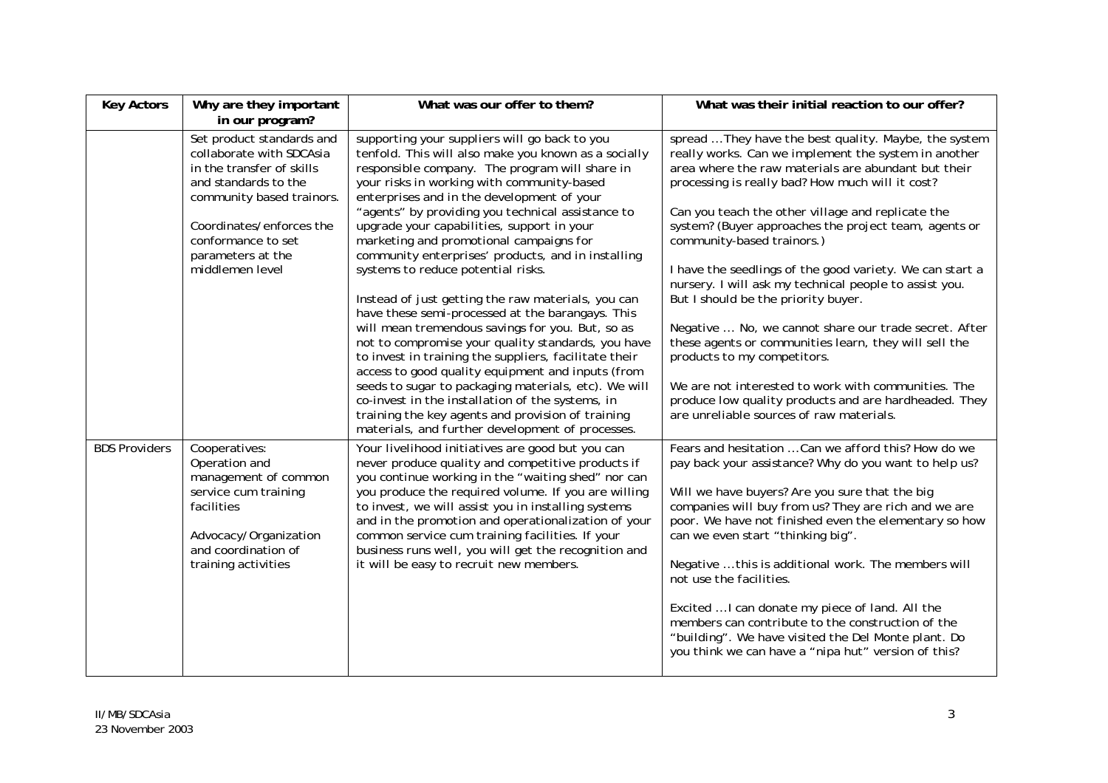| <b>Key Actors</b>    | Why are they important<br>in our program?                                                                                                                                                                                         | What was our offer to them?                                                                                                                                                                                                                                                                                                                                                                                                                                                                                                                                                                                                                                                                                                                                                                                                                                                                                                                                                                                                                          | What was their initial reaction to our offer?                                                                                                                                                                                                                                                                                                                                                                                                                                                                                                                                                                                                                                                                                                                                                                                                  |
|----------------------|-----------------------------------------------------------------------------------------------------------------------------------------------------------------------------------------------------------------------------------|------------------------------------------------------------------------------------------------------------------------------------------------------------------------------------------------------------------------------------------------------------------------------------------------------------------------------------------------------------------------------------------------------------------------------------------------------------------------------------------------------------------------------------------------------------------------------------------------------------------------------------------------------------------------------------------------------------------------------------------------------------------------------------------------------------------------------------------------------------------------------------------------------------------------------------------------------------------------------------------------------------------------------------------------------|------------------------------------------------------------------------------------------------------------------------------------------------------------------------------------------------------------------------------------------------------------------------------------------------------------------------------------------------------------------------------------------------------------------------------------------------------------------------------------------------------------------------------------------------------------------------------------------------------------------------------------------------------------------------------------------------------------------------------------------------------------------------------------------------------------------------------------------------|
|                      | Set product standards and<br>collaborate with SDCAsia<br>in the transfer of skills<br>and standards to the<br>community based trainors.<br>Coordinates/enforces the<br>conformance to set<br>parameters at the<br>middlemen level | supporting your suppliers will go back to you<br>tenfold. This will also make you known as a socially<br>responsible company. The program will share in<br>your risks in working with community-based<br>enterprises and in the development of your<br>"agents" by providing you technical assistance to<br>upgrade your capabilities, support in your<br>marketing and promotional campaigns for<br>community enterprises' products, and in installing<br>systems to reduce potential risks.<br>Instead of just getting the raw materials, you can<br>have these semi-processed at the barangays. This<br>will mean tremendous savings for you. But, so as<br>not to compromise your quality standards, you have<br>to invest in training the suppliers, facilitate their<br>access to good quality equipment and inputs (from<br>seeds to sugar to packaging materials, etc). We will<br>co-invest in the installation of the systems, in<br>training the key agents and provision of training<br>materials, and further development of processes. | spread  They have the best quality. Maybe, the system<br>really works. Can we implement the system in another<br>area where the raw materials are abundant but their<br>processing is really bad? How much will it cost?<br>Can you teach the other village and replicate the<br>system? (Buyer approaches the project team, agents or<br>community-based trainors.)<br>I have the seedlings of the good variety. We can start a<br>nursery. I will ask my technical people to assist you.<br>But I should be the priority buyer.<br>Negative  No, we cannot share our trade secret. After<br>these agents or communities learn, they will sell the<br>products to my competitors.<br>We are not interested to work with communities. The<br>produce low quality products and are hardheaded. They<br>are unreliable sources of raw materials. |
| <b>BDS Providers</b> | Cooperatives:<br>Operation and<br>management of common<br>service cum training<br>facilities<br>Advocacy/Organization<br>and coordination of<br>training activities                                                               | Your livelihood initiatives are good but you can<br>never produce quality and competitive products if<br>you continue working in the "waiting shed" nor can<br>you produce the required volume. If you are willing<br>to invest, we will assist you in installing systems<br>and in the promotion and operationalization of your<br>common service cum training facilities. If your<br>business runs well, you will get the recognition and<br>it will be easy to recruit new members.                                                                                                                                                                                                                                                                                                                                                                                                                                                                                                                                                               | Fears and hesitation  Can we afford this? How do we<br>pay back your assistance? Why do you want to help us?<br>Will we have buyers? Are you sure that the big<br>companies will buy from us? They are rich and we are<br>poor. We have not finished even the elementary so how<br>can we even start "thinking big".<br>Negative  this is additional work. The members will<br>not use the facilities.<br>Excited  I can donate my piece of land. All the<br>members can contribute to the construction of the<br>"building". We have visited the Del Monte plant. Do<br>you think we can have a "nipa hut" version of this?                                                                                                                                                                                                                   |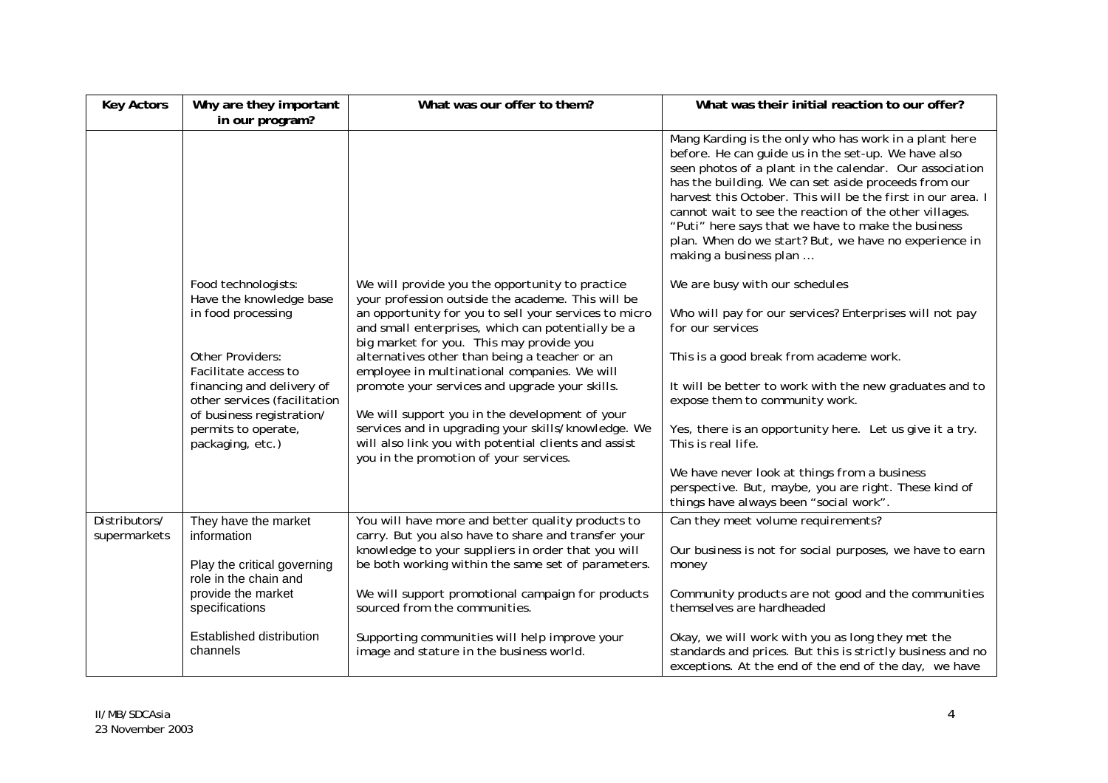| <b>Key Actors</b>             | Why are they important<br>in our program?                                                                      | What was our offer to them?                                                                                                                                                                                                                                                                                     | What was their initial reaction to our offer?                                                                                                                                                                                                                                                                                                                                                                                                                                                     |
|-------------------------------|----------------------------------------------------------------------------------------------------------------|-----------------------------------------------------------------------------------------------------------------------------------------------------------------------------------------------------------------------------------------------------------------------------------------------------------------|---------------------------------------------------------------------------------------------------------------------------------------------------------------------------------------------------------------------------------------------------------------------------------------------------------------------------------------------------------------------------------------------------------------------------------------------------------------------------------------------------|
|                               |                                                                                                                |                                                                                                                                                                                                                                                                                                                 | Mang Karding is the only who has work in a plant here<br>before. He can guide us in the set-up. We have also<br>seen photos of a plant in the calendar. Our association<br>has the building. We can set aside proceeds from our<br>harvest this October. This will be the first in our area. I<br>cannot wait to see the reaction of the other villages.<br>"Puti" here says that we have to make the business<br>plan. When do we start? But, we have no experience in<br>making a business plan |
|                               | Food technologists:<br>Have the knowledge base<br>in food processing<br>Other Providers:                       | We will provide you the opportunity to practice<br>your profession outside the academe. This will be<br>an opportunity for you to sell your services to micro<br>and small enterprises, which can potentially be a<br>big market for you. This may provide you<br>alternatives other than being a teacher or an | We are busy with our schedules<br>Who will pay for our services? Enterprises will not pay<br>for our services<br>This is a good break from academe work.                                                                                                                                                                                                                                                                                                                                          |
|                               | Facilitate access to<br>financing and delivery of<br>other services (facilitation<br>of business registration/ | employee in multinational companies. We will<br>promote your services and upgrade your skills.<br>We will support you in the development of your                                                                                                                                                                | It will be better to work with the new graduates and to<br>expose them to community work.                                                                                                                                                                                                                                                                                                                                                                                                         |
|                               | permits to operate,<br>packaging, etc.)                                                                        | services and in upgrading your skills/knowledge. We<br>will also link you with potential clients and assist<br>you in the promotion of your services.                                                                                                                                                           | Yes, there is an opportunity here. Let us give it a try.<br>This is real life.                                                                                                                                                                                                                                                                                                                                                                                                                    |
|                               |                                                                                                                |                                                                                                                                                                                                                                                                                                                 | We have never look at things from a business<br>perspective. But, maybe, you are right. These kind of<br>things have always been "social work".                                                                                                                                                                                                                                                                                                                                                   |
| Distributors/<br>supermarkets | They have the market<br>information                                                                            | You will have more and better quality products to<br>carry. But you also have to share and transfer your<br>knowledge to your suppliers in order that you will                                                                                                                                                  | Can they meet volume requirements?<br>Our business is not for social purposes, we have to earn                                                                                                                                                                                                                                                                                                                                                                                                    |
|                               | Play the critical governing<br>role in the chain and                                                           | be both working within the same set of parameters.                                                                                                                                                                                                                                                              | money                                                                                                                                                                                                                                                                                                                                                                                                                                                                                             |
|                               | provide the market<br>specifications                                                                           | We will support promotional campaign for products<br>sourced from the communities.                                                                                                                                                                                                                              | Community products are not good and the communities<br>themselves are hardheaded                                                                                                                                                                                                                                                                                                                                                                                                                  |
|                               | Established distribution<br>channels                                                                           | Supporting communities will help improve your<br>image and stature in the business world.                                                                                                                                                                                                                       | Okay, we will work with you as long they met the<br>standards and prices. But this is strictly business and no<br>exceptions. At the end of the end of the day, we have                                                                                                                                                                                                                                                                                                                           |